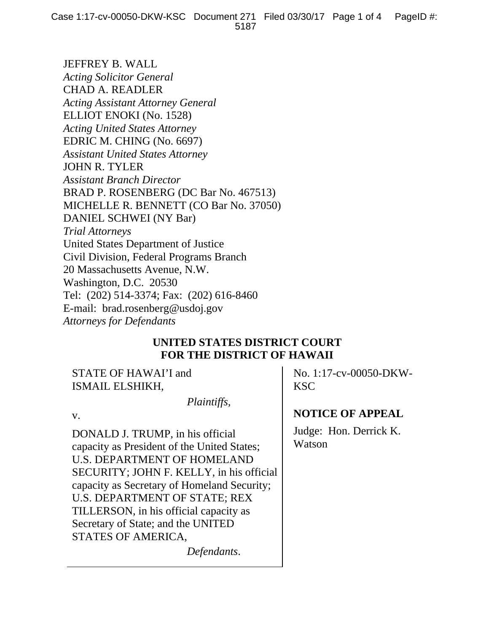JEFFREY B. WALL *Acting Solicitor General*  CHAD A. READLER *Acting Assistant Attorney General*  ELLIOT ENOKI (No. 1528) *Acting United States Attorney*  EDRIC M. CHING (No. 6697) *Assistant United States Attorney*  JOHN R. TYLER *Assistant Branch Director*  BRAD P. ROSENBERG (DC Bar No. 467513) MICHELLE R. BENNETT (CO Bar No. 37050) DANIEL SCHWEI (NY Bar) *Trial Attorneys*  United States Department of Justice Civil Division, Federal Programs Branch 20 Massachusetts Avenue, N.W. Washington, D.C. 20530 Tel: (202) 514-3374; Fax: (202) 616-8460 E-mail: brad.rosenberg@usdoj.gov *Attorneys for Defendants*

## **UNITED STATES DISTRICT COURT FOR THE DISTRICT OF HAWAII**

STATE OF HAWAI'I and ISMAIL ELSHIKH,

 *Plaintiffs*,

v.

DONALD J. TRUMP, in his official capacity as President of the United States; U.S. DEPARTMENT OF HOMELAND SECURITY; JOHN F. KELLY, in his official capacity as Secretary of Homeland Security; U.S. DEPARTMENT OF STATE; REX TILLERSON, in his official capacity as Secretary of State; and the UNITED STATES OF AMERICA,

*Defendants*.

No. 1:17-cv-00050-DKW-KSC

**NOTICE OF APPEAL**

Judge: Hon. Derrick K. Watson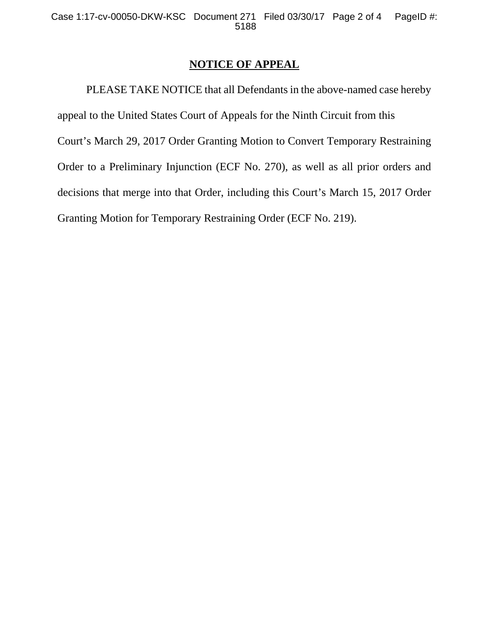## **NOTICE OF APPEAL**

 PLEASE TAKE NOTICE that all Defendants in the above-named case hereby appeal to the United States Court of Appeals for the Ninth Circuit from this Court's March 29, 2017 Order Granting Motion to Convert Temporary Restraining Order to a Preliminary Injunction (ECF No. 270), as well as all prior orders and decisions that merge into that Order, including this Court's March 15, 2017 Order Granting Motion for Temporary Restraining Order (ECF No. 219).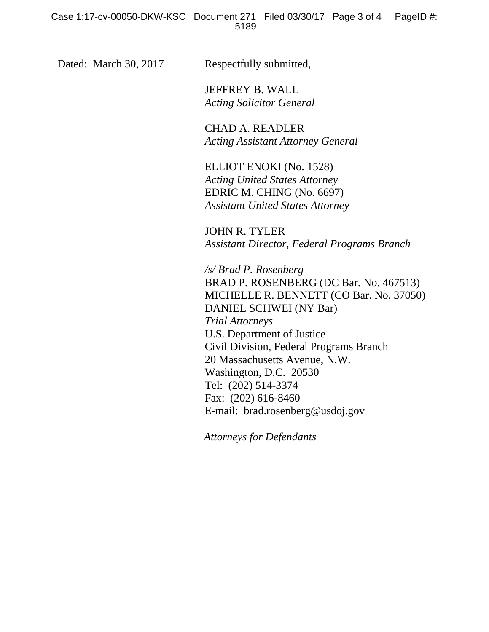Dated: March 30, 2017 Respectfully submitted,

 JEFFREY B. WALL *Acting Solicitor General* 

 CHAD A. READLER *Acting Assistant Attorney General* 

 ELLIOT ENOKI (No. 1528) *Acting United States Attorney*  EDRIC M. CHING (No. 6697) *Assistant United States Attorney* 

JOHN R. TYLER *Assistant Director, Federal Programs Branch* 

*/s/ Brad P. Rosenberg*  BRAD P. ROSENBERG (DC Bar. No. 467513) MICHELLE R. BENNETT (CO Bar. No. 37050) DANIEL SCHWEI (NY Bar) *Trial Attorneys*  U.S. Department of Justice Civil Division, Federal Programs Branch 20 Massachusetts Avenue, N.W. Washington, D.C. 20530 Tel: (202) 514-3374 Fax: (202) 616-8460 E-mail: brad.rosenberg@usdoj.gov

 *Attorneys for Defendants*